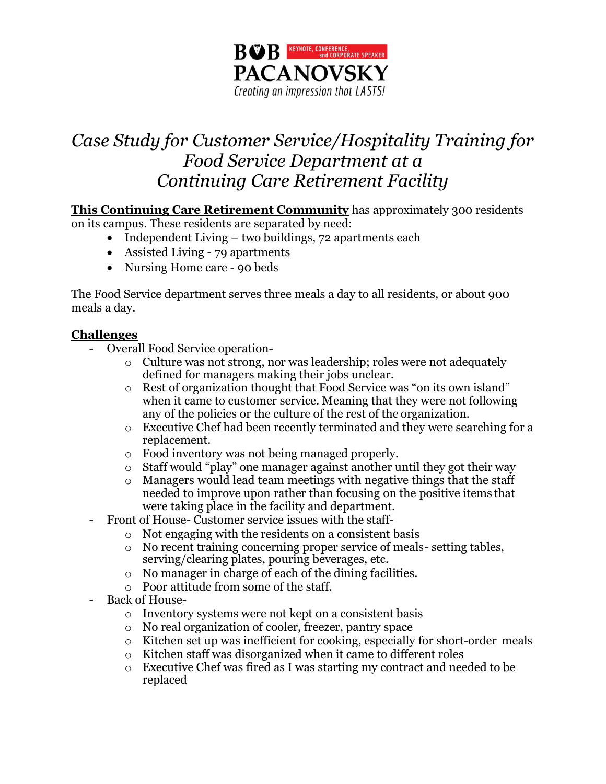

# *Case Study for Customer Service/Hospitality Training for Food Service Department at a Continuing Care Retirement Facility*

**This Continuing Care Retirement Community** has approximately 300 residents on its campus. These residents are separated by need:

- Independent Living two buildings, 72 apartments each
- Assisted Living 79 apartments
- Nursing Home care 90 beds

The Food Service department serves three meals a day to all residents, or about 900 meals a day.

### **Challenges**

- Overall Food Service operation
	- o Culture was not strong, nor was leadership; roles were not adequately defined for managers making their jobs unclear.
	- o Rest of organization thought that Food Service was "on its own island" when it came to customer service. Meaning that they were not following any of the policies or the culture of the rest of the organization.
	- o Executive Chef had been recently terminated and they were searching for a replacement.
	- o Food inventory was not being managed properly.
	- o Staff would "play" one manager against another until they got their way
	- o Managers would lead team meetings with negative things that the staff needed to improve upon rather than focusing on the positive items that were taking place in the facility and department.
	- Front of House- Customer service issues with the staff
		- o Not engaging with the residents on a consistent basis
		- o No recent training concerning proper service of meals- setting tables, serving/clearing plates, pouring beverages, etc.
		- o No manager in charge of each of the dining facilities.
		- o Poor attitude from some of the staff.
- Back of House
	- o Inventory systems were not kept on a consistent basis
	- o No real organization of cooler, freezer, pantry space
	- o Kitchen set up was inefficient for cooking, especially for short-order meals
	- o Kitchen staff was disorganized when it came to different roles
	- o Executive Chef was fired as I was starting my contract and needed to be replaced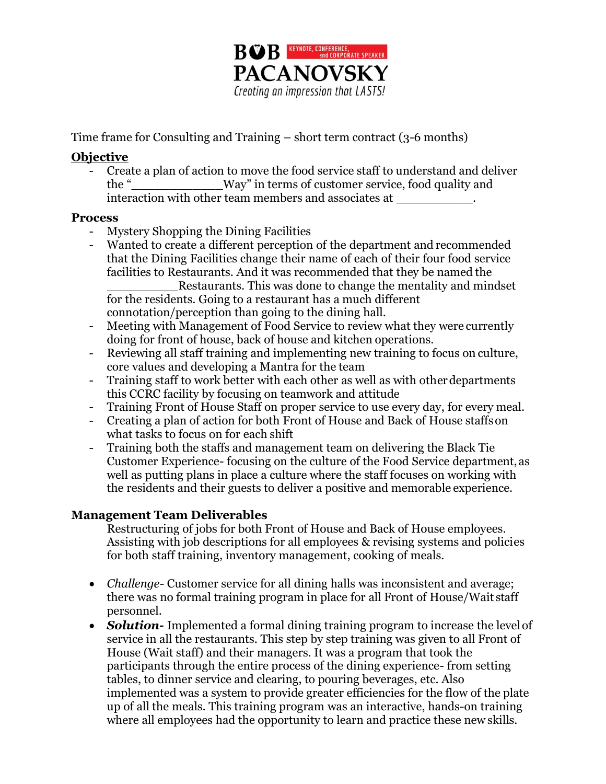

Time frame for Consulting and Training – short term contract (3-6 months)

## **Objective**

- Create a plan of action to move the food service staff to understand and deliver the "\_\_\_\_\_\_\_\_\_\_\_\_Way" in terms of customer service, food quality and interaction with other team members and associates at \_\_\_\_\_\_\_\_\_\_.

### **Process**

- Mystery Shopping the Dining Facilities
- Wanted to create a different perception of the department and recommended that the Dining Facilities change their name of each of their four food service facilities to Restaurants. And it was recommended that they be named the Restaurants. This was done to change the mentality and mindset for the residents. Going to a restaurant has a much different connotation/perception than going to the dining hall.
- Meeting with Management of Food Service to review what they were currently doing for front of house, back of house and kitchen operations.
- Reviewing all staff training and implementing new training to focus on culture, core values and developing a Mantra for the team
- Training staff to work better with each other as well as with other departments this CCRC facility by focusing on teamwork and attitude
- Training Front of House Staff on proper service to use every day, for every meal.
- Creating a plan of action for both Front of House and Back of House staffson what tasks to focus on for each shift
- Training both the staffs and management team on delivering the Black Tie Customer Experience- focusing on the culture of the Food Service department, as well as putting plans in place a culture where the staff focuses on working with the residents and their guests to deliver a positive and memorable experience.

## **Management Team Deliverables**

Restructuring of jobs for both Front of House and Back of House employees. Assisting with job descriptions for all employees & revising systems and policies for both staff training, inventory management, cooking of meals.

- *Challenge* Customer service for all dining halls was inconsistent and average; there was no formal training program in place for all Front of House/Wait staff personnel.
- **Solution-** Implemented a formal dining training program to increase the level of service in all the restaurants. This step by step training was given to all Front of House (Wait staff) and their managers. It was a program that took the participants through the entire process of the dining experience- from setting tables, to dinner service and clearing, to pouring beverages, etc. Also implemented was a system to provide greater efficiencies for the flow of the plate up of all the meals. This training program was an interactive, hands-on training where all employees had the opportunity to learn and practice these new skills.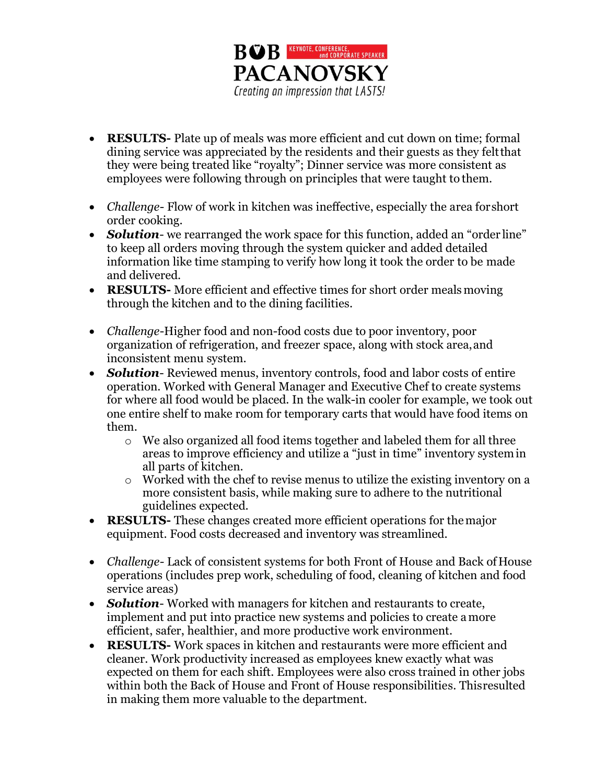

- **RESULTS-** Plate up of meals was more efficient and cut down on time; formal dining service was appreciated by the residents and their guests as they feltthat they were being treated like "royalty"; Dinner service was more consistent as employees were following through on principles that were taught to them.
- *Challenge* Flow of work in kitchen was ineffective, especially the area forshort order cooking.
- *Solution* we rearranged the work space for this function, added an "order line" to keep all orders moving through the system quicker and added detailed information like time stamping to verify how long it took the order to be made and delivered.
- **RESULTS-** More efficient and effective times for short order meals moving through the kitchen and to the dining facilities.
- *Challenge*-Higher food and non-food costs due to poor inventory, poor organization of refrigeration, and freezer space, along with stock area,and inconsistent menu system.
- *Solution* Reviewed menus, inventory controls, food and labor costs of entire operation. Worked with General Manager and Executive Chef to create systems for where all food would be placed. In the walk-in cooler for example, we took out one entire shelf to make room for temporary carts that would have food items on them.
	- o We also organized all food items together and labeled them for all three areas to improve efficiency and utilize a "just in time" inventory systemin all parts of kitchen.
	- o Worked with the chef to revise menus to utilize the existing inventory on a more consistent basis, while making sure to adhere to the nutritional guidelines expected.
- **RESULTS-** These changes created more efficient operations for themajor equipment. Food costs decreased and inventory was streamlined.
- *Challenge-* Lack of consistent systems for both Front of House and Back ofHouse operations (includes prep work, scheduling of food, cleaning of kitchen and food service areas)
- *Solution* Worked with managers for kitchen and restaurants to create, implement and put into practice new systems and policies to create a more efficient, safer, healthier, and more productive work environment.
- **RESULTS-** Work spaces in kitchen and restaurants were more efficient and cleaner. Work productivity increased as employees knew exactly what was expected on them for each shift. Employees were also cross trained in other jobs within both the Back of House and Front of House responsibilities. Thisresulted in making them more valuable to the department.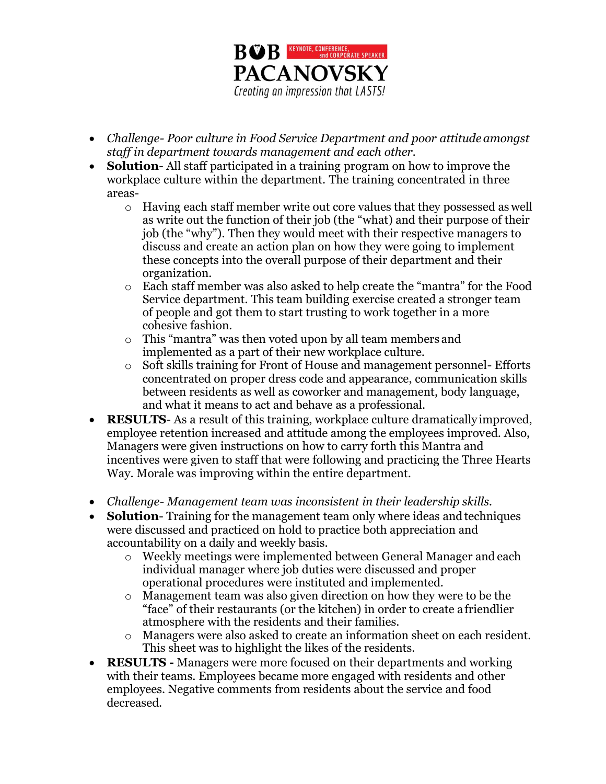

- *Challenge- Poor culture in Food Service Department and poor attitudeamongst staff in department towards management and each other.*
- **Solution** All staff participated in a training program on how to improve the workplace culture within the department. The training concentrated in three areas
	- o Having each staff member write out core values that they possessed as well as write out the function of their job (the "what) and their purpose of their job (the "why"). Then they would meet with their respective managers to discuss and create an action plan on how they were going to implement these concepts into the overall purpose of their department and their organization.
	- o Each staff member was also asked to help create the "mantra" for the Food Service department. This team building exercise created a stronger team of people and got them to start trusting to work together in a more cohesive fashion.
	- o This "mantra" was then voted upon by all team members and implemented as a part of their new workplace culture.
	- Soft skills training for Front of House and management personnel- Efforts concentrated on proper dress code and appearance, communication skills between residents as well as coworker and management, body language, and what it means to act and behave as a professional.
- **RESULTS** As a result of this training, workplace culture dramatically improved, employee retention increased and attitude among the employees improved. Also, Managers were given instructions on how to carry forth this Mantra and incentives were given to staff that were following and practicing the Three Hearts Way. Morale was improving within the entire department.
- *Challenge Management team was inconsistent in their leadership skills.*
- **Solution**-Training for the management team only where ideas and techniques were discussed and practiced on hold to practice both appreciation and accountability on a daily and weekly basis.
	- o Weekly meetings were implemented between General Manager and each individual manager where job duties were discussed and proper operational procedures were instituted and implemented.
	- o Management team was also given direction on how they were to be the "face" of their restaurants (or the kitchen) in order to create afriendlier atmosphere with the residents and their families.
	- o Managers were also asked to create an information sheet on each resident. This sheet was to highlight the likes of the residents.
- **RESULTS -** Managers were more focused on their departments and working with their teams. Employees became more engaged with residents and other employees. Negative comments from residents about the service and food decreased.